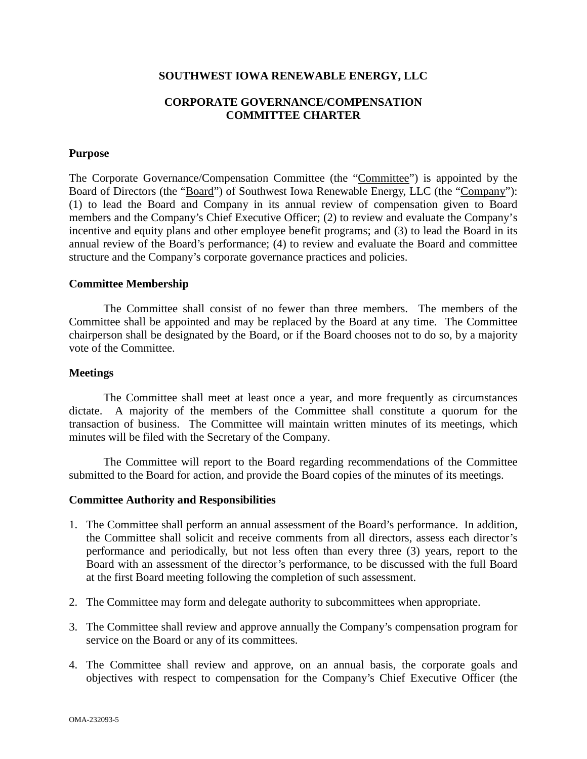## **SOUTHWEST IOWA RENEWABLE ENERGY, LLC**

# **CORPORATE GOVERNANCE/COMPENSATION COMMITTEE CHARTER**

### **Purpose**

The Corporate Governance/Compensation Committee (the "Committee") is appointed by the Board of Directors (the "Board") of Southwest Iowa Renewable Energy, LLC (the "Company"): (1) to lead the Board and Company in its annual review of compensation given to Board members and the Company's Chief Executive Officer; (2) to review and evaluate the Company's incentive and equity plans and other employee benefit programs; and (3) to lead the Board in its annual review of the Board's performance; (4) to review and evaluate the Board and committee structure and the Company's corporate governance practices and policies.

## **Committee Membership**

The Committee shall consist of no fewer than three members. The members of the Committee shall be appointed and may be replaced by the Board at any time. The Committee chairperson shall be designated by the Board, or if the Board chooses not to do so, by a majority vote of the Committee.

#### **Meetings**

The Committee shall meet at least once a year, and more frequently as circumstances dictate. A majority of the members of the Committee shall constitute a quorum for the transaction of business. The Committee will maintain written minutes of its meetings, which minutes will be filed with the Secretary of the Company.

The Committee will report to the Board regarding recommendations of the Committee submitted to the Board for action, and provide the Board copies of the minutes of its meetings.

#### **Committee Authority and Responsibilities**

- 1. The Committee shall perform an annual assessment of the Board's performance. In addition, the Committee shall solicit and receive comments from all directors, assess each director's performance and periodically, but not less often than every three (3) years, report to the Board with an assessment of the director's performance, to be discussed with the full Board at the first Board meeting following the completion of such assessment.
- 2. The Committee may form and delegate authority to subcommittees when appropriate.
- 3. The Committee shall review and approve annually the Company's compensation program for service on the Board or any of its committees.
- 4. The Committee shall review and approve, on an annual basis, the corporate goals and objectives with respect to compensation for the Company's Chief Executive Officer (the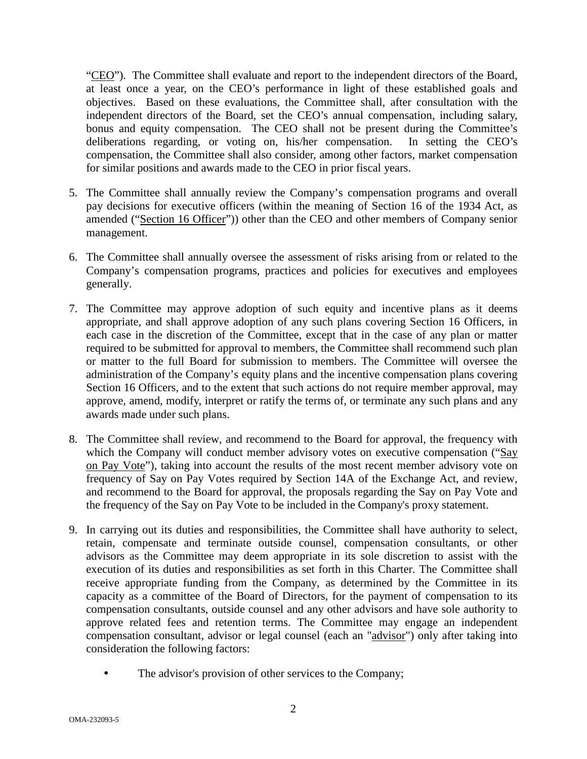"CEO"). The Committee shall evaluate and report to the independent directors of the Board, at least once a year, on the CEO's performance in light of these established goals and objectives. Based on these evaluations, the Committee shall, after consultation with the independent directors of the Board, set the CEO's annual compensation, including salary, bonus and equity compensation. The CEO shall not be present during the Committee's deliberations regarding, or voting on, his/her compensation. In setting the CEO's compensation, the Committee shall also consider, among other factors, market compensation for similar positions and awards made to the CEO in prior fiscal years.

- 5. The Committee shall annually review the Company's compensation programs and overall pay decisions for executive officers (within the meaning of Section 16 of the 1934 Act, as amended ("Section 16 Officer")) other than the CEO and other members of Company senior management.
- 6. The Committee shall annually oversee the assessment of risks arising from or related to the Company's compensation programs, practices and policies for executives and employees generally.
- 7. The Committee may approve adoption of such equity and incentive plans as it deems appropriate, and shall approve adoption of any such plans covering Section 16 Officers, in each case in the discretion of the Committee, except that in the case of any plan or matter required to be submitted for approval to members, the Committee shall recommend such plan or matter to the full Board for submission to members. The Committee will oversee the administration of the Company's equity plans and the incentive compensation plans covering Section 16 Officers, and to the extent that such actions do not require member approval, may approve, amend, modify, interpret or ratify the terms of, or terminate any such plans and any awards made under such plans.
- 8. The Committee shall review, and recommend to the Board for approval, the frequency with which the Company will conduct member advisory votes on executive compensation ("Say on Pay Vote"), taking into account the results of the most recent member advisory vote on frequency of Say on Pay Votes required by Section 14A of the Exchange Act, and review, and recommend to the Board for approval, the proposals regarding the Say on Pay Vote and the frequency of the Say on Pay Vote to be included in the Company's proxy statement.
- 9. In carrying out its duties and responsibilities, the Committee shall have authority to select, retain, compensate and terminate outside counsel, compensation consultants, or other advisors as the Committee may deem appropriate in its sole discretion to assist with the execution of its duties and responsibilities as set forth in this Charter. The Committee shall receive appropriate funding from the Company, as determined by the Committee in its capacity as a committee of the Board of Directors, for the payment of compensation to its compensation consultants, outside counsel and any other advisors and have sole authority to approve related fees and retention terms. The Committee may engage an independent compensation consultant, advisor or legal counsel (each an "advisor") only after taking into consideration the following factors:
	- The advisor's provision of other services to the Company;